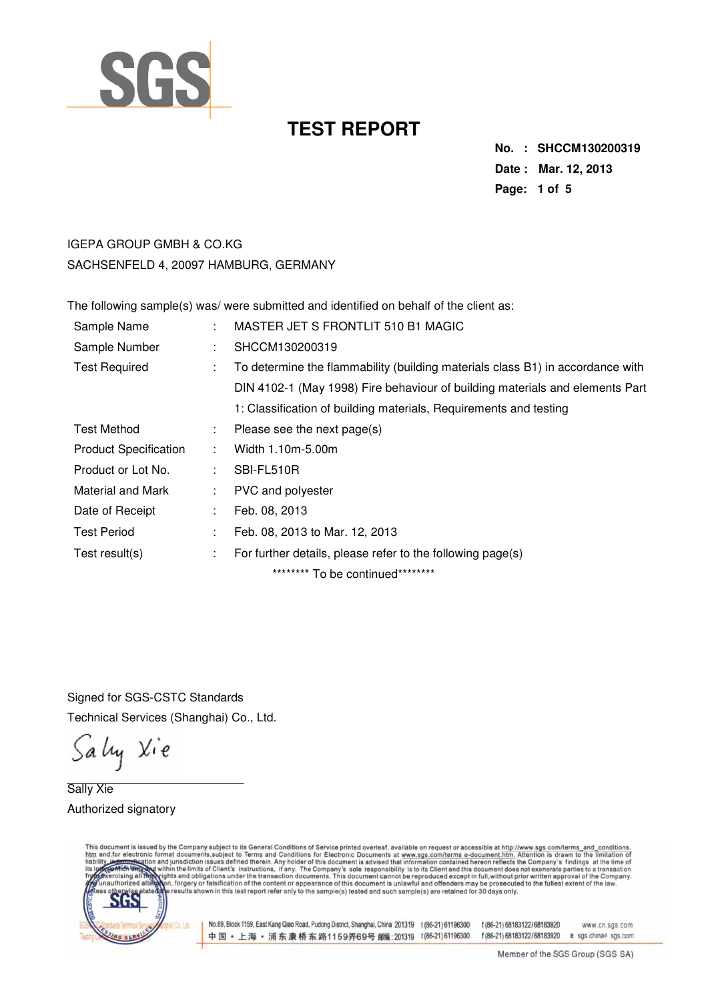

**No. : SHCCM130200319 Date : Mar. 12, 2013 Page: 1 of 5** 

#### IGEPA GROUP GMBH & CO.KG SACHSENFELD 4, 20097 HAMBURG, GERMANY

The following sample(s) was/ were submitted and identified on behalf of the client as:

| Sample Name                  |               | MASTER JET S FRONTLIT 510 B1 MAGIC                                             |
|------------------------------|---------------|--------------------------------------------------------------------------------|
| Sample Number                |               | SHCCM130200319                                                                 |
| <b>Test Required</b>         | ÷.            | To determine the flammability (building materials class B1) in accordance with |
|                              |               | DIN 4102-1 (May 1998) Fire behaviour of building materials and elements Part   |
|                              |               | 1: Classification of building materials, Requirements and testing              |
| Test Method                  | ÷.            | Please see the next page(s)                                                    |
| <b>Product Specification</b> | $\mathcal{L}$ | Width 1.10m-5.00m                                                              |
| Product or Lot No.           | ÷.            | SBI-FL510R                                                                     |
| <b>Material and Mark</b>     | ÷.            | PVC and polyester                                                              |
| Date of Receipt              | ÷             | Feb. 08, 2013                                                                  |
| <b>Test Period</b>           | t.            | Feb. 08, 2013 to Mar. 12, 2013                                                 |
| Test result(s)               | ÷             | For further details, please refer to the following page(s)                     |
|                              |               | ********* To be continued*********                                             |

Signed for SGS-CSTC Standards Technical Services (Shanghai) Co., Ltd.

Sally Xie

Sally Xie Authorized signatory

This document is issued by the Company subject to its General Conditions of Service printed overleaf, available on request or accessible at http://www.sgs.com/terms\_and\_conditions.<br>htm\_and,for electronic format documents,s

ICo Lin

No.69, Block 1159, East Kang Qiao Road, Pudong District, Shanghai, China 201319 t (86-21) 61196300 f (86-21) 68183122/68183920 中国·上海·浦东康桥东路1159弄69号 邮编:201319 t(86-21)61196300

www.cn.sgs.com f(86-21) 68183122/68183920 e sgs.china@sgs.com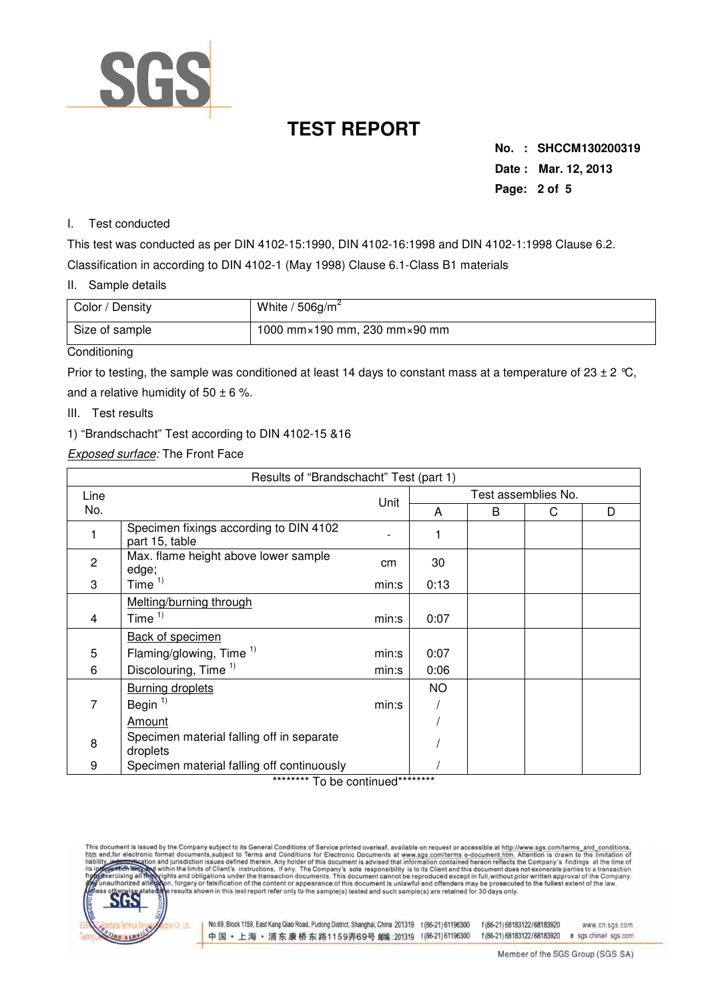

**No. : SHCCM130200319 Date : Mar. 12, 2013 Page: 2 of 5** 

#### I. Test conducted

This test was conducted as per DIN 4102-15:1990, DIN 4102-16:1998 and DIN 4102-1:1998 Clause 6.2. Classification in according to DIN 4102-1 (May 1998) Clause 6.1-Class B1 materials

II. Sample details

| Color / Density | White / $506g/m^2$                             |
|-----------------|------------------------------------------------|
| Size of sample  | 1000 mm $\times$ 190 mm, 230 mm $\times$ 90 mm |

#### **Conditioning**

Prior to testing, the sample was conditioned at least 14 days to constant mass at a temperature of 23  $\pm$  2 °C, and a relative humidity of  $50 \pm 6$  %.

- III. Test results
- 1) "Brandschacht" Test according to DIN 4102-15 &16

Exposed surface: The Front Face

| Results of "Brandschacht" Test (part 1) |                                                                   |                |                     |   |   |   |  |
|-----------------------------------------|-------------------------------------------------------------------|----------------|---------------------|---|---|---|--|
| Line                                    |                                                                   | Unit           | Test assemblies No. |   |   |   |  |
| No.                                     |                                                                   |                | A                   | B | C | D |  |
|                                         | Specimen fixings according to DIN 4102<br>part 15, table          |                |                     |   |   |   |  |
| 2                                       | Max. flame height above lower sample<br>edge;                     | cm             | 30                  |   |   |   |  |
| 3                                       | Time $1$                                                          | min:s          | 0:13                |   |   |   |  |
|                                         | Melting/burning through                                           |                |                     |   |   |   |  |
| 4                                       | Time $1$                                                          | min:s          | 0:07                |   |   |   |  |
|                                         | <b>Back of specimen</b>                                           |                |                     |   |   |   |  |
| 5                                       | Flaming/glowing, Time <sup>1)</sup>                               | min:s          | 0:07                |   |   |   |  |
| 6                                       | Discolouring, Time <sup>1)</sup>                                  | min:s          | 0:06                |   |   |   |  |
|                                         | <b>Burning droplets</b>                                           |                | NO.                 |   |   |   |  |
| 7                                       | Begin $1$                                                         | min:s          |                     |   |   |   |  |
|                                         | Amount                                                            |                |                     |   |   |   |  |
| 8                                       | Specimen material falling off in separate<br>droplets             |                |                     |   |   |   |  |
| 9                                       | Specimen material falling off continuously<br>******************* | <b>Service</b> |                     |   |   |   |  |

\*\*\*\*\*\*\*\* To be continued\*\*\*\*\*\*\*\*\*

This document is issued by the Company subject to its General Conditions of Service printed overleaf, available on request or accessible at http://www.sgs.com/terms\_and\_conditions.<br>htm\_and,for\_electronic format\_documents,s



No.69, Block 1159, East Kang Qiao Road, Pudong District, Shanghai, China 201319 t (86-21) 61196300 f (86-21) 68183122/68183920 中国·上海·浦东康桥东路1159弄69号邮编:201319 t(86-21)61196300

www.cn.sgs.com f(86-21) 68183122/68183920 e sgs.china@sgs.com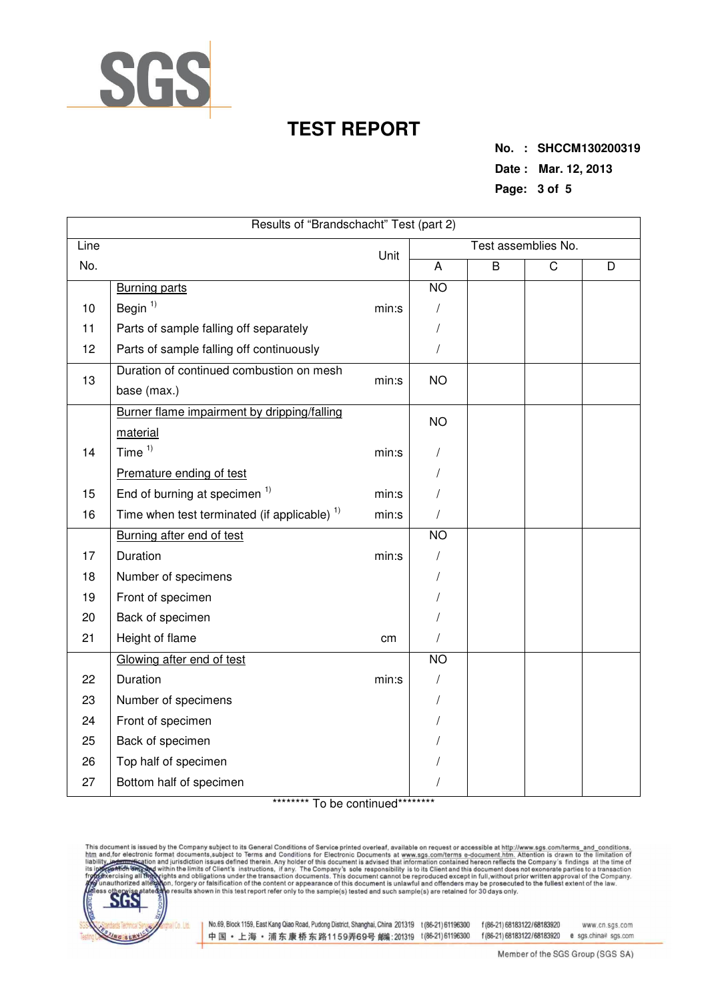

**No. : SHCCM130200319 Date : Mar. 12, 2013 Page: 3 of 5** 

| Results of "Brandschacht" Test (part 2) |                                                         |       |                     |   |   |   |  |  |
|-----------------------------------------|---------------------------------------------------------|-------|---------------------|---|---|---|--|--|
| Line                                    |                                                         |       | Test assemblies No. |   |   |   |  |  |
| No.                                     |                                                         | Unit  | A                   | B | C | D |  |  |
|                                         | <b>Burning parts</b>                                    |       | $\overline{NO}$     |   |   |   |  |  |
| 10                                      | Begin $1$                                               | min:s | /                   |   |   |   |  |  |
| 11                                      | Parts of sample falling off separately                  |       | T                   |   |   |   |  |  |
| 12                                      | Parts of sample falling off continuously                |       |                     |   |   |   |  |  |
| 13                                      | Duration of continued combustion on mesh                | min:s | <b>NO</b>           |   |   |   |  |  |
|                                         | base (max.)                                             |       |                     |   |   |   |  |  |
|                                         | Burner flame impairment by dripping/falling             |       | <b>NO</b>           |   |   |   |  |  |
|                                         | material                                                |       |                     |   |   |   |  |  |
| 14                                      | Time $1)$                                               | min:s |                     |   |   |   |  |  |
|                                         | Premature ending of test                                |       |                     |   |   |   |  |  |
| 15                                      | End of burning at specimen <sup>1)</sup>                | min:s |                     |   |   |   |  |  |
| 16                                      | Time when test terminated (if applicable) <sup>1)</sup> | min:s |                     |   |   |   |  |  |
|                                         | Burning after end of test                               |       | N <sub>O</sub>      |   |   |   |  |  |
| 17                                      | Duration                                                | min:s |                     |   |   |   |  |  |
| 18                                      | Number of specimens                                     |       |                     |   |   |   |  |  |
| 19                                      | Front of specimen                                       |       |                     |   |   |   |  |  |
| 20                                      | Back of specimen                                        |       |                     |   |   |   |  |  |
| 21                                      | Height of flame                                         | cm    |                     |   |   |   |  |  |
|                                         | Glowing after end of test                               |       | <b>NO</b>           |   |   |   |  |  |
| 22                                      | Duration                                                | min:s |                     |   |   |   |  |  |
| 23                                      | Number of specimens                                     |       |                     |   |   |   |  |  |
| 24                                      | Front of specimen                                       |       |                     |   |   |   |  |  |
| 25                                      | Back of specimen                                        |       |                     |   |   |   |  |  |
| 26                                      | Top half of specimen                                    |       |                     |   |   |   |  |  |
| 27                                      | Bottom half of specimen                                 |       |                     |   |   |   |  |  |

\*\*\*\*\*\*\*\*\* To be continued\*\*\*\*\*\*\*\*\*

This document is issued by the Company subject to its General Conditions of Service printed overleaf, available on request or accessible at http://www.sgs.com/terms\_and\_conditions.<br>htm\_and,for electronic format documents,s



No.69, Block 1159, East Kang Qiao Road, Pudong District, Shanghai, China 201319 t (86-21) 61196300 f (86-21) 68183122/68183920 中国·上海·浦东康桥东路1159弄69号 邮(201319 t(86-21)61196300

www.cn.sgs.com f (86-21) 68183122/68183920 e sgs.china@sgs.com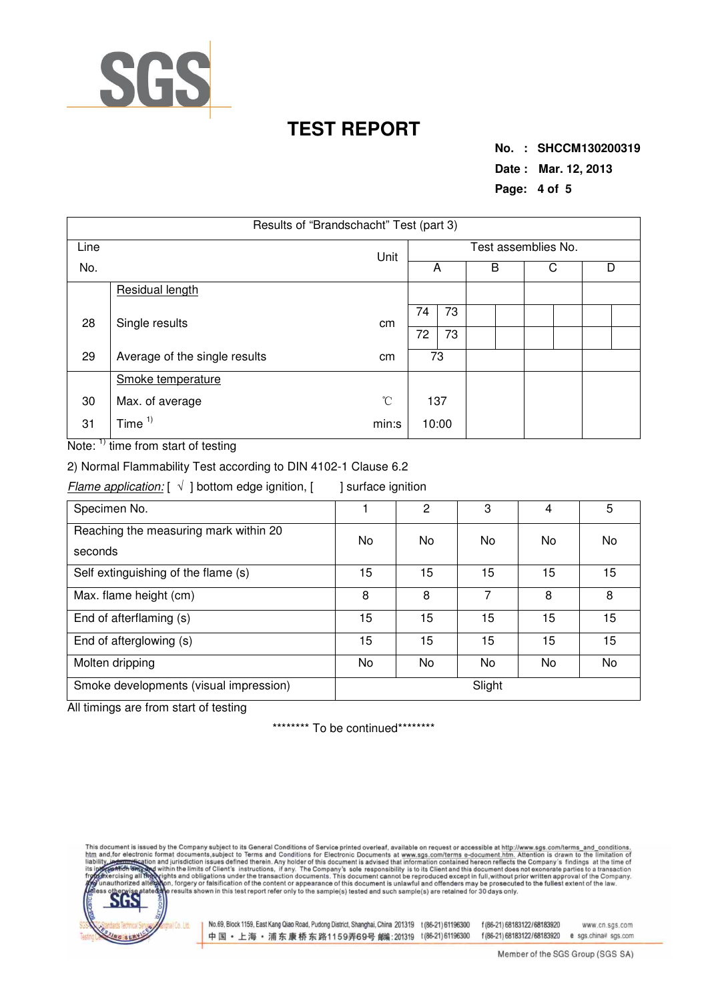

**No. : SHCCM130200319 Date : Mar. 12, 2013 Page: 4 of 5** 

| Results of "Brandschacht" Test (part 3) |                               |                 |                     |       |  |   |   |  |   |  |
|-----------------------------------------|-------------------------------|-----------------|---------------------|-------|--|---|---|--|---|--|
| Line<br>No.                             |                               | Unit            | Test assemblies No. |       |  |   |   |  |   |  |
|                                         |                               |                 | A                   |       |  | B | C |  | D |  |
|                                         | Residual length               |                 |                     |       |  |   |   |  |   |  |
| 28                                      | Single results                | cm              | 74                  | 73    |  |   |   |  |   |  |
|                                         |                               |                 | 72                  | 73    |  |   |   |  |   |  |
| 29                                      | Average of the single results | cm              | 73                  |       |  |   |   |  |   |  |
|                                         | Smoke temperature             |                 |                     |       |  |   |   |  |   |  |
| 30                                      | Max. of average               | $\rm ^{\circ}C$ | 137                 |       |  |   |   |  |   |  |
| 31                                      | Time $1$                      | min:s           |                     | 10:00 |  |   |   |  |   |  |

Note: <sup>1)</sup> time from start of testing

2) Normal Flammability Test according to DIN 4102-1 Clause 6.2

Flame application:  $[\sqrt{}]$  bottom edge ignition,  $[$  ] surface ignition

| Specimen No.                                     |        | 2  | 3  | 4  | 5  |  |  |
|--------------------------------------------------|--------|----|----|----|----|--|--|
| Reaching the measuring mark within 20<br>seconds | No     | No | No | No | No |  |  |
| Self extinguishing of the flame (s)              | 15     | 15 | 15 | 15 | 15 |  |  |
| Max. flame height (cm)                           | 8      | 8  | 7  | 8  | 8  |  |  |
| End of afterflaming (s)                          | 15     | 15 | 15 | 15 | 15 |  |  |
| End of afterglowing (s)                          | 15     | 15 | 15 | 15 | 15 |  |  |
| Molten dripping                                  | No     | No | No | No | No |  |  |
| Smoke developments (visual impression)           | Slight |    |    |    |    |  |  |

All timings are from start of testing

\*\*\*\*\*\*\*\*\* To be continued\*\*\*\*\*\*\*\*\*

and, for electronic format documents, subject to its General Conditions of Service printed overleaf, available on request or accessible at http://www.sgs.com/terms\_and\_conditions.<br>and, for electronic format documents, subj liabili



No.69, Block 1159, East Kang Qiao Road, Pudong District, Shanghai, China 201319 t (86-21) 61196300 f (86-21) 68183122/68183920 中国·上海·浦东康桥东路1159弄69号 邮编:201319 t(86-21)61196300

www.cn.sgs.com f(86-21) 68183122/68183920 e sgs.china@sgs.com